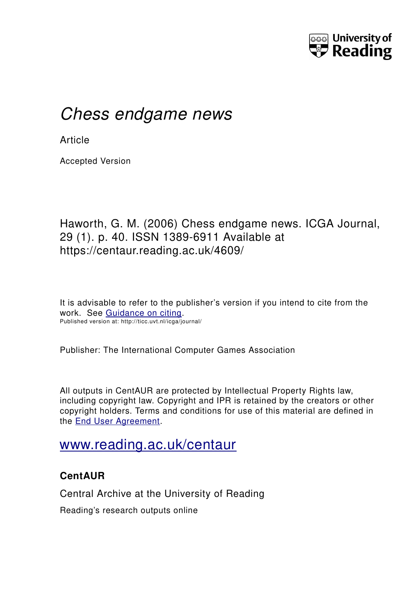

# *Chess endgame news*

**Article** 

Accepted Version

Haworth, G. M. (2006) Chess endgame news. ICGA Journal, 29 (1). p. 40. ISSN 1389-6911 Available at https://centaur.reading.ac.uk/4609/

It is advisable to refer to the publisher's version if you intend to cite from the work. See [Guidance on citing.](http://centaur.reading.ac.uk/71187/10/CentAUR%20citing%20guide.pdf) Published version at: http://ticc.uvt.nl/icga/journal/

Publisher: The International Computer Games Association

All outputs in CentAUR are protected by Intellectual Property Rights law, including copyright law. Copyright and IPR is retained by the creators or other copyright holders. Terms and conditions for use of this material are defined in the [End User Agreement.](http://centaur.reading.ac.uk/licence)

## [www.reading.ac.uk/centaur](http://www.reading.ac.uk/centaur)

### **CentAUR**

Central Archive at the University of Reading

Reading's research outputs online